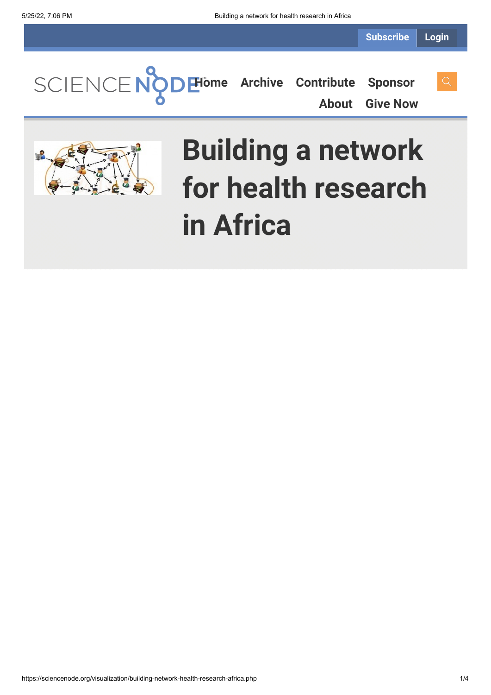**[Home](https://sciencenode.org/) [Archive](https://sciencenode.org/archive/index.php) [Contribute](https://sciencenode.org/contribute/index.php) [Sponsor](https://sciencenode.org/sponsor/index.php)**

**[About](https://sciencenode.org/about/index.php) [Give Now](https://sciencenode.org/donate/index.php)**

# **Building a network for health research in Africa**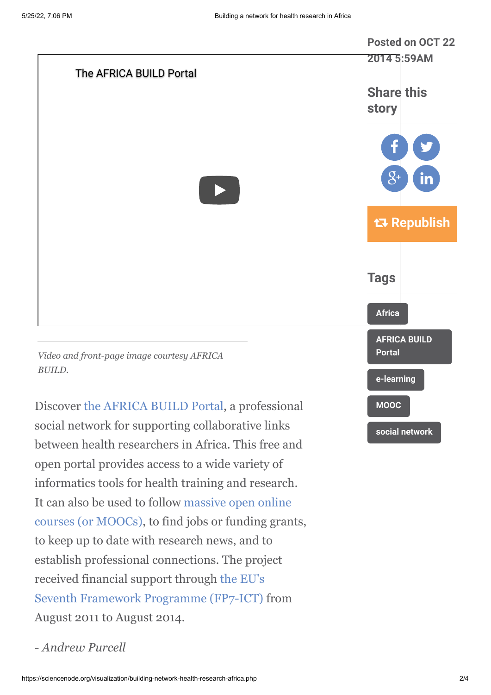

Discover [the AFRICA BUILD Portal](http://portal.africabuild.eu/), a professional social network for supporting collaborative links between health researchers in Africa. This free and open portal provides access to a wide variety of informatics tools for health training and research. [It can also be used to follow massive open online](http://en.wikipedia.org/wiki/Massive_open_online_course) courses (or MOOCs), to find jobs or funding grants, to keep up to date with research news, and to establish professional connections. The project received financial support through the EU's [Seventh Framework Programme \(FP7-ICT\)](http://cordis.europa.eu/fp7/home_en.html) from August 2011 to August 2014.

*- Andrew Purcell*

**[social network](https://sciencenode.org/tag/?tag=social%20network)**